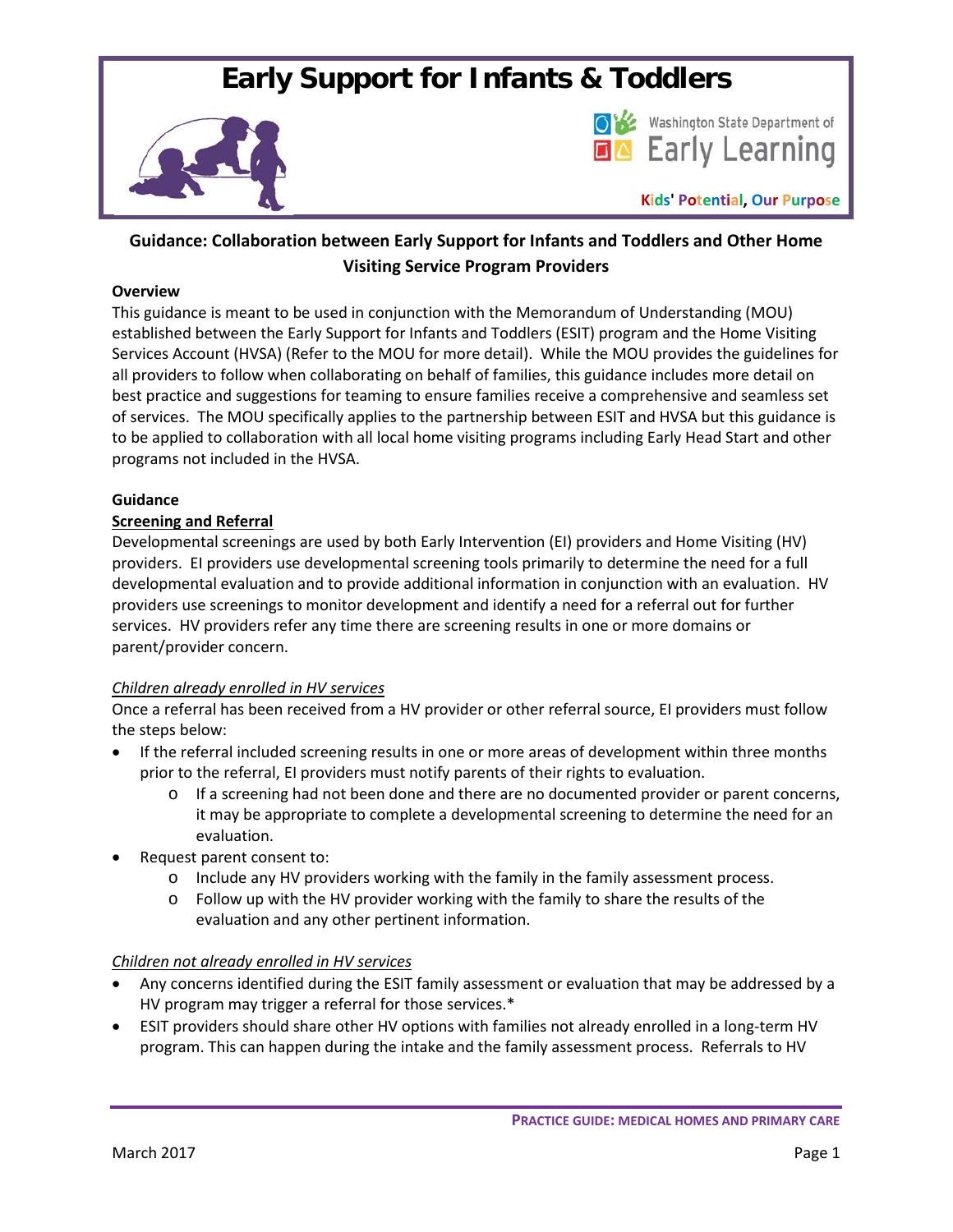# **Early Support for Infants & Toddlers**





**Kids' Potential, Our Purpose**

# **Guidance: Collaboration between Early Support for Infants and Toddlers and Other Home Visiting Service Program Providers**

#### **Overview**

This guidance is meant to be used in conjunction with the Memorandum of Understanding (MOU) established between the Early Support for Infants and Toddlers (ESIT) program and the Home Visiting Services Account (HVSA) (Refer to the MOU for more detail). While the MOU provides the guidelines for all providers to follow when collaborating on behalf of families, this guidance includes more detail on best practice and suggestions for teaming to ensure families receive a comprehensive and seamless set of services. The MOU specifically applies to the partnership between ESIT and HVSA but this guidance is to be applied to collaboration with all local home visiting programs including Early Head Start and other programs not included in the HVSA.

## **Guidance**

## **Screening and Referral**

Developmental screenings are used by both Early Intervention (EI) providers and Home Visiting (HV) providers. EI providers use developmental screening tools primarily to determine the need for a full developmental evaluation and to provide additional information in conjunction with an evaluation. HV providers use screenings to monitor development and identify a need for a referral out for further services. HV providers refer any time there are screening results in one or more domains or parent/provider concern.

# *Children already enrolled in HV services*

Once a referral has been received from a HV provider or other referral source, EI providers must follow the steps below:

- If the referral included screening results in one or more areas of development within three months prior to the referral, EI providers must notify parents of their rights to evaluation.
	- o If a screening had not been done and there are no documented provider or parent concerns, it may be appropriate to complete a developmental screening to determine the need for an evaluation.
- Request parent consent to:
	- o Include any HV providers working with the family in the family assessment process.
	- $\circ$  Follow up with the HV provider working with the family to share the results of the evaluation and any other pertinent information.

#### *Children not already enrolled in HV services*

- Any concerns identified during the ESIT family assessment or evaluation that may be addressed by a HV program may trigger a referral for those services.\*
- ESIT providers should share other HV options with families not already enrolled in a long-term HV program. This can happen during the intake and the family assessment process. Referrals to HV